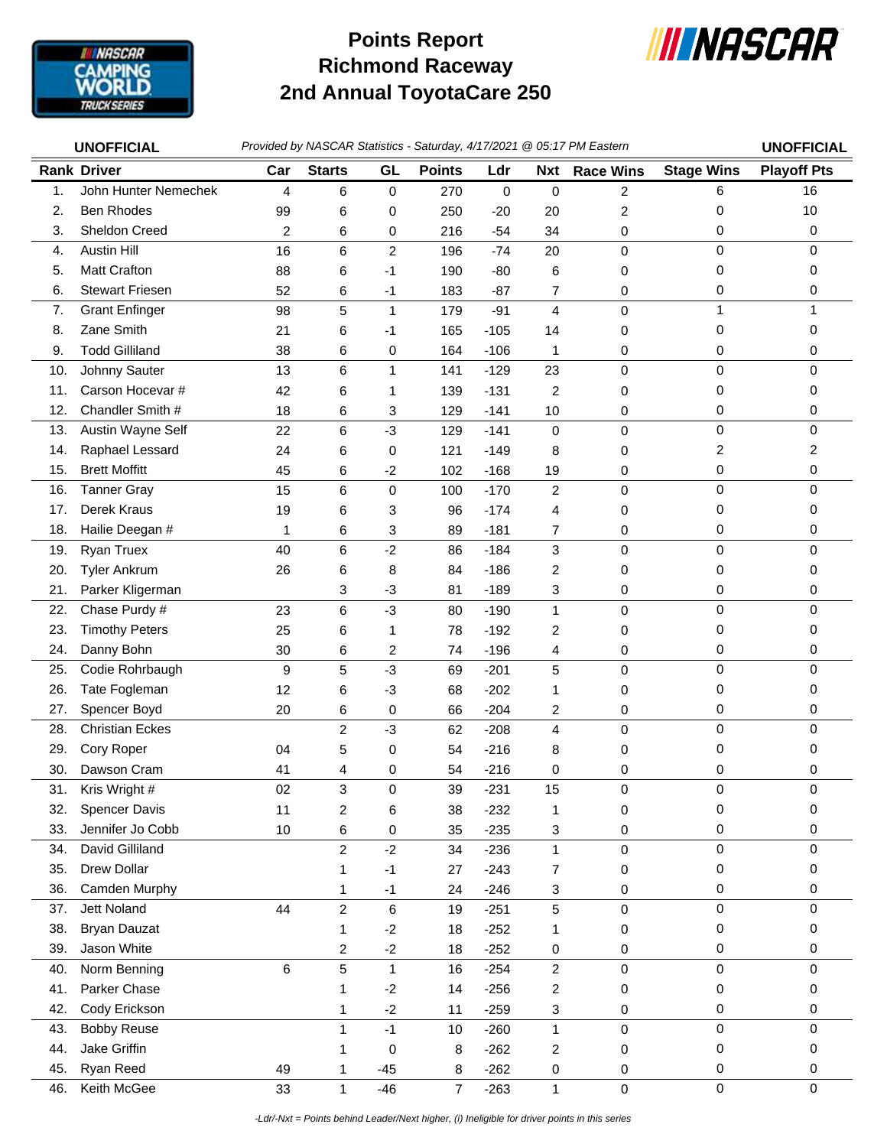

## **Richmond Raceway 2nd Annual ToyotaCare 250 Points Report**



|     | Provided by NASCAR Statistics - Saturday, 4/17/2021 @ 05:17 PM Eastern<br><b>UNOFFICIAL</b> |                |                         |                |                |        |                         |                  | <b>UNOFFICIAL</b> |                     |
|-----|---------------------------------------------------------------------------------------------|----------------|-------------------------|----------------|----------------|--------|-------------------------|------------------|-------------------|---------------------|
|     | <b>Rank Driver</b>                                                                          | Car            | <b>Starts</b>           | GL             | <b>Points</b>  | Ldr    | <b>Nxt</b>              | <b>Race Wins</b> | <b>Stage Wins</b> | <b>Playoff Pts</b>  |
| 1.  | John Hunter Nemechek                                                                        | $\overline{4}$ | 6                       | 0              | 270            | 0      | $\pmb{0}$               | $\overline{c}$   | 6                 | 16                  |
| 2.  | <b>Ben Rhodes</b>                                                                           | 99             | 6                       | 0              | 250            | $-20$  | 20                      | 2                | 0                 | 10                  |
| 3.  | Sheldon Creed                                                                               | 2              | 6                       | 0              | 216            | $-54$  | 34                      | 0                | 0                 | 0                   |
| 4.  | <b>Austin Hill</b>                                                                          | 16             | 6                       | 2              | 196            | $-74$  | 20                      | $\mathbf 0$      | $\mathbf 0$       | $\mathbf 0$         |
| 5.  | <b>Matt Crafton</b>                                                                         | 88             | 6                       | $-1$           | 190            | $-80$  | 6                       | 0                | 0                 | 0                   |
| 6.  | <b>Stewart Friesen</b>                                                                      | 52             | 6                       | $-1$           | 183            | $-87$  | 7                       | 0                | 0                 | 0                   |
| 7.  | <b>Grant Enfinger</b>                                                                       | 98             | 5                       | $\mathbf{1}$   | 179            | $-91$  | $\overline{\mathbf{4}}$ | 0                | 1                 | 1                   |
| 8.  | Zane Smith                                                                                  | 21             | 6                       | -1             | 165            | $-105$ | 14                      | 0                | 0                 | $\Omega$            |
| 9.  | <b>Todd Gilliland</b>                                                                       | 38             | 6                       | $\pmb{0}$      | 164            | $-106$ | 1                       | 0                | 0                 | 0                   |
| 10. | Johnny Sauter                                                                               | 13             | 6                       | $\mathbf{1}$   | 141            | $-129$ | 23                      | $\mathbf 0$      | $\mathbf 0$       | $\Omega$            |
| 11. | Carson Hocevar #                                                                            | 42             | 6                       | 1              | 139            | $-131$ | $\overline{c}$          | 0                | 0                 | $\Omega$            |
| 12. | Chandler Smith #                                                                            | 18             | 6                       | 3              | 129            | $-141$ | 10                      | 0                | 0                 | 0                   |
| 13. | Austin Wayne Self                                                                           | 22             | 6                       | $-3$           | 129            | $-141$ | $\mathbf 0$             | $\pmb{0}$        | $\pmb{0}$         | $\mathbf 0$         |
| 14. | Raphael Lessard                                                                             | 24             | 6                       | 0              | 121            | $-149$ | 8                       | 0                | 2                 | 2                   |
| 15. | <b>Brett Moffitt</b>                                                                        | 45             | 6                       | $-2$           | 102            | $-168$ | 19                      | 0                | $\pmb{0}$         | 0                   |
| 16. | <b>Tanner Gray</b>                                                                          | 15             | 6                       | $\mathbf 0$    | 100            | $-170$ | $\overline{c}$          | 0                | $\mathbf 0$       | $\mathbf 0$         |
| 17. | <b>Derek Kraus</b>                                                                          | 19             | 6                       | 3              | 96             | $-174$ | 4                       | 0                | 0                 | $\Omega$            |
| 18. | Hailie Deegan #                                                                             | 1              | 6                       | 3              | 89             | $-181$ | 7                       | 0                | 0                 | 0                   |
| 19. | Ryan Truex                                                                                  | 40             | 6                       | $-2$           | 86             | $-184$ | 3                       | $\pmb{0}$        | 0                 | $\mathbf 0$         |
| 20. | <b>Tyler Ankrum</b>                                                                         | 26             | 6                       | 8              | 84             | $-186$ | $\overline{c}$          | 0                | 0                 | 0                   |
| 21. | Parker Kligerman                                                                            |                | 3                       | $-3$           | 81             | $-189$ | 3                       | 0                | 0                 | 0                   |
| 22. | Chase Purdy #                                                                               | 23             | 6                       | $-3$           | 80             | $-190$ | $\mathbf{1}$            | 0                | 0                 | $\Omega$            |
| 23. | <b>Timothy Peters</b>                                                                       | 25             | 6                       | $\mathbf{1}$   | 78             | $-192$ | 2                       | 0                | 0                 | $\Omega$            |
| 24. | Danny Bohn                                                                                  | 30             | 6                       | $\overline{c}$ | 74             | $-196$ | 4                       | 0                | 0                 | 0                   |
| 25. | Codie Rohrbaugh                                                                             | 9              | 5                       | $-3$           | 69             | $-201$ | 5                       | $\mathbf 0$      | $\mathbf 0$       | $\mathbf 0$         |
| 26. | Tate Fogleman                                                                               | 12             | 6                       | $-3$           | 68             | $-202$ | 1                       | 0                | 0                 | 0                   |
| 27. | Spencer Boyd                                                                                | 20             | 6                       | 0              | 66             | $-204$ | 2                       | 0                | 0                 | 0                   |
| 28. | <b>Christian Eckes</b>                                                                      |                | 2                       | $-3$           | 62             | $-208$ | $\overline{4}$          | $\mathbf 0$      | $\mathbf 0$       | $\Omega$            |
| 29. | Cory Roper                                                                                  | 04             | 5                       | 0              | 54             | $-216$ | 8                       | 0                | 0                 | 0                   |
| 30. | Dawson Cram                                                                                 | 41             | 4                       | 0              | 54             | $-216$ | 0                       | 0                | 0                 | 0                   |
| 31. | Kris Wright #                                                                               | 02             | 3                       | 0              | 39             | $-231$ | 15                      | 0                | $\pmb{0}$         | 0                   |
| 32. | <b>Spencer Davis</b>                                                                        | 11             | $\overline{\mathbf{c}}$ | 6              | 38             | $-232$ | 1                       | 0                | $\pmb{0}$         | 0                   |
| 33. | Jennifer Jo Cobb                                                                            | 10             | 6                       | 0              | 35             | $-235$ | 3                       | 0                | 0                 | $\pmb{0}$           |
| 34. | David Gilliland                                                                             |                | $\overline{c}$          | $-2$           | 34             | $-236$ | $\mathbf{1}$            | $\pmb{0}$        | 0                 | 0                   |
| 35. | Drew Dollar                                                                                 |                | 1                       | $-1$           | 27             | $-243$ | 7                       | 0                | 0                 | 0                   |
| 36. | Camden Murphy                                                                               |                | 1                       | $-1$           | 24             | $-246$ | 3                       | 0                | 0                 | 0                   |
| 37. | Jett Noland                                                                                 | 44             | $\overline{c}$          | 6              | 19             | $-251$ | 5                       | 0                | 0                 | $\mathbf 0$         |
| 38. | <b>Bryan Dauzat</b>                                                                         |                | 1                       | $-2$           | 18             | $-252$ | 1                       | 0                | 0                 | 0                   |
| 39. | Jason White                                                                                 |                | $\overline{\mathbf{c}}$ | $-2$           | 18             | $-252$ | 0                       | 0                | 0                 | 0                   |
| 40. | Norm Benning                                                                                | 6              | 5                       | $\mathbf{1}$   | 16             | $-254$ | $\overline{c}$          | 0                | $\pmb{0}$         | $\mathbf 0$         |
| 41. | Parker Chase                                                                                |                | 1                       | $-2$           | 14             | $-256$ | 2                       | 0                | 0                 | 0                   |
| 42. | Cody Erickson                                                                               |                | 1                       | $-2$           | 11             | $-259$ | 3                       | 0                | 0                 | 0                   |
| 43. | <b>Bobby Reuse</b>                                                                          |                | $\mathbf{1}$            | $-1$           | 10             | $-260$ | $\mathbf{1}$            | $\pmb{0}$        | $\pmb{0}$         | $\mathsf{O}\xspace$ |
| 44. | Jake Griffin                                                                                |                | 1                       | 0              | 8              | $-262$ | $\overline{c}$          | 0                | 0                 | 0                   |
| 45. | Ryan Reed                                                                                   | 49             | 1                       | $-45$          | 8              | $-262$ | 0                       | 0                | 0                 | 0                   |
| 46. | Keith McGee                                                                                 | 33             | $\mathbf{1}$            | $-46$          | $\overline{7}$ | $-263$ | $\mathbf{1}$            | $\pmb{0}$        | $\pmb{0}$         | $\mathbf 0$         |